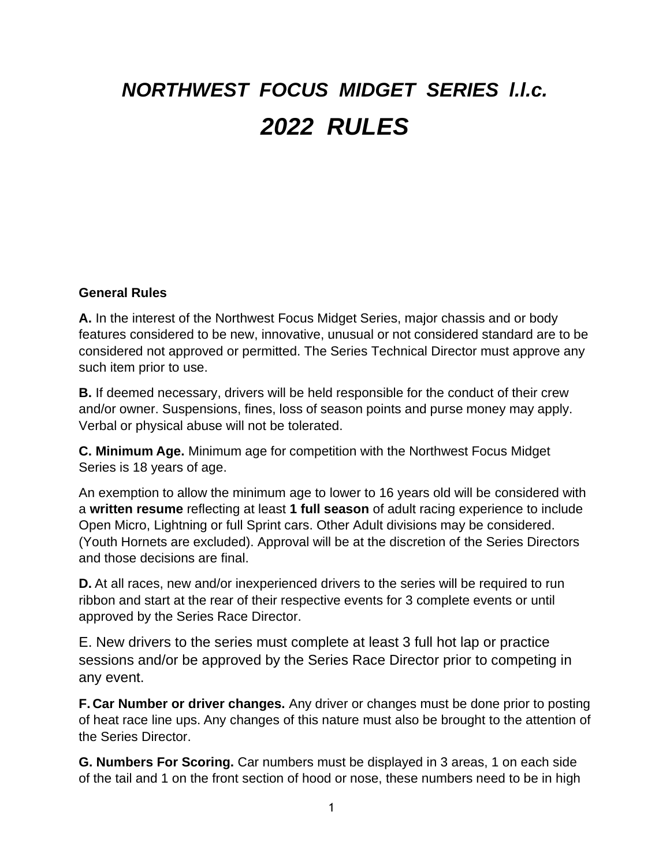# *NORTHWEST FOCUS MIDGET SERIES l.l.c. 2022 RULES*

#### **General Rules**

**A.** In the interest of the Northwest Focus Midget Series, major chassis and or body features considered to be new, innovative, unusual or not considered standard are to be considered not approved or permitted. The Series Technical Director must approve any such item prior to use.

**B.** If deemed necessary, drivers will be held responsible for the conduct of their crew and/or owner. Suspensions, fines, loss of season points and purse money may apply. Verbal or physical abuse will not be tolerated.

**C. Minimum Age.** Minimum age for competition with the Northwest Focus Midget Series is 18 years of age.

An exemption to allow the minimum age to lower to 16 years old will be considered with a **written resume** reflecting at least **1 full season** of adult racing experience to include Open Micro, Lightning or full Sprint cars. Other Adult divisions may be considered. (Youth Hornets are excluded). Approval will be at the discretion of the Series Directors and those decisions are final.

**D.** At all races, new and/or inexperienced drivers to the series will be required to run ribbon and start at the rear of their respective events for 3 complete events or until approved by the Series Race Director.

E. New drivers to the series must complete at least 3 full hot lap or practice sessions and/or be approved by the Series Race Director prior to competing in any event.

**F. Car Number or driver changes.** Any driver or changes must be done prior to posting of heat race line ups. Any changes of this nature must also be brought to the attention of the Series Director.

**G. Numbers For Scoring.** Car numbers must be displayed in 3 areas, 1 on each side of the tail and 1 on the front section of hood or nose, these numbers need to be in high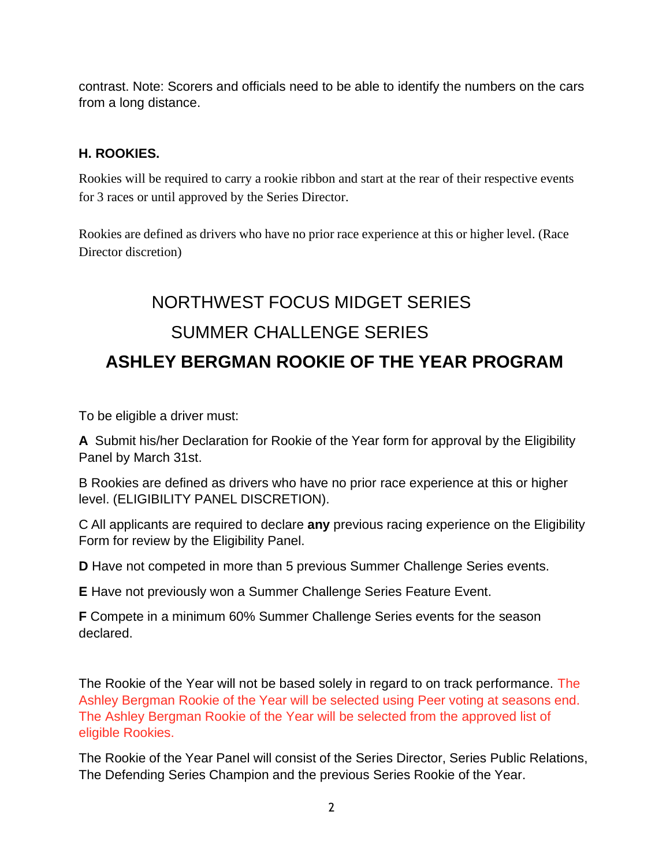contrast. Note: Scorers and officials need to be able to identify the numbers on the cars from a long distance.

## **H. ROOKIES.**

Rookies will be required to carry a rookie ribbon and start at the rear of their respective events for 3 races or until approved by the Series Director.

Rookies are defined as drivers who have no prior race experience at this or higher level. (Race Director discretion)

## NORTHWEST FOCUS MIDGET SERIES SUMMER CHALLENGE SERIES **ASHLEY BERGMAN ROOKIE OF THE YEAR PROGRAM**

To be eligible a driver must:

**A** Submit his/her Declaration for Rookie of the Year form for approval by the Eligibility Panel by March 31st.

B Rookies are defined as drivers who have no prior race experience at this or higher level. (ELIGIBILITY PANEL DISCRETION).

C All applicants are required to declare **any** previous racing experience on the Eligibility Form for review by the Eligibility Panel.

**D** Have not competed in more than 5 previous Summer Challenge Series events.

**E** Have not previously won a Summer Challenge Series Feature Event.

**F** Compete in a minimum 60% Summer Challenge Series events for the season declared.

The Rookie of the Year will not be based solely in regard to on track performance. The Ashley Bergman Rookie of the Year will be selected using Peer voting at seasons end. The Ashley Bergman Rookie of the Year will be selected from the approved list of eligible Rookies.

The Rookie of the Year Panel will consist of the Series Director, Series Public Relations, The Defending Series Champion and the previous Series Rookie of the Year.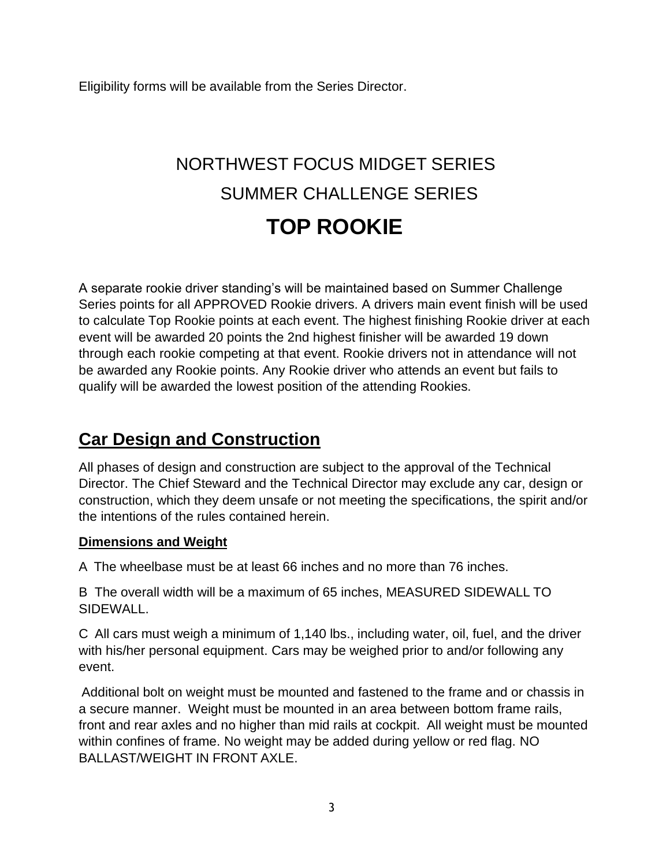Eligibility forms will be available from the Series Director.

## NORTHWEST FOCUS MIDGET SERIES SUMMER CHALLENGE SERIES **TOP ROOKIE**

A separate rookie driver standing's will be maintained based on Summer Challenge Series points for all APPROVED Rookie drivers. A drivers main event finish will be used to calculate Top Rookie points at each event. The highest finishing Rookie driver at each event will be awarded 20 points the 2nd highest finisher will be awarded 19 down through each rookie competing at that event. Rookie drivers not in attendance will not be awarded any Rookie points. Any Rookie driver who attends an event but fails to qualify will be awarded the lowest position of the attending Rookies.

## **Car Design and Construction**

All phases of design and construction are subject to the approval of the Technical Director. The Chief Steward and the Technical Director may exclude any car, design or construction, which they deem unsafe or not meeting the specifications, the spirit and/or the intentions of the rules contained herein.

#### **Dimensions and Weight**

A The wheelbase must be at least 66 inches and no more than 76 inches.

B The overall width will be a maximum of 65 inches, MEASURED SIDEWALL TO SIDEWALL.

C All cars must weigh a minimum of 1,140 lbs., including water, oil, fuel, and the driver with his/her personal equipment. Cars may be weighed prior to and/or following any event.

Additional bolt on weight must be mounted and fastened to the frame and or chassis in a secure manner. Weight must be mounted in an area between bottom frame rails, front and rear axles and no higher than mid rails at cockpit. All weight must be mounted within confines of frame. No weight may be added during yellow or red flag. NO BALLAST/WEIGHT IN FRONT AXLE.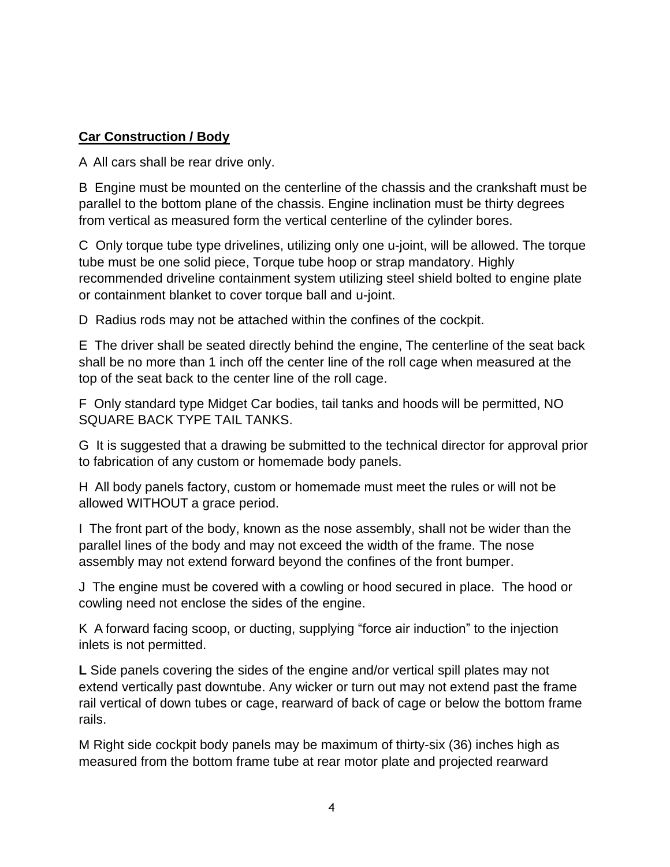#### **Car Construction / Body**

A All cars shall be rear drive only.

B Engine must be mounted on the centerline of the chassis and the crankshaft must be parallel to the bottom plane of the chassis. Engine inclination must be thirty degrees from vertical as measured form the vertical centerline of the cylinder bores.

C Only torque tube type drivelines, utilizing only one u-joint, will be allowed. The torque tube must be one solid piece, Torque tube hoop or strap mandatory. Highly recommended driveline containment system utilizing steel shield bolted to engine plate or containment blanket to cover torque ball and u-joint.

D Radius rods may not be attached within the confines of the cockpit.

E The driver shall be seated directly behind the engine, The centerline of the seat back shall be no more than 1 inch off the center line of the roll cage when measured at the top of the seat back to the center line of the roll cage.

F Only standard type Midget Car bodies, tail tanks and hoods will be permitted, NO SQUARE BACK TYPE TAIL TANKS.

G It is suggested that a drawing be submitted to the technical director for approval prior to fabrication of any custom or homemade body panels.

H All body panels factory, custom or homemade must meet the rules or will not be allowed WITHOUT a grace period.

I The front part of the body, known as the nose assembly, shall not be wider than the parallel lines of the body and may not exceed the width of the frame. The nose assembly may not extend forward beyond the confines of the front bumper.

J The engine must be covered with a cowling or hood secured in place. The hood or cowling need not enclose the sides of the engine.

K A forward facing scoop, or ducting, supplying "force air induction" to the injection inlets is not permitted.

**L** Side panels covering the sides of the engine and/or vertical spill plates may not extend vertically past downtube. Any wicker or turn out may not extend past the frame rail vertical of down tubes or cage, rearward of back of cage or below the bottom frame rails.

M Right side cockpit body panels may be maximum of thirty-six (36) inches high as measured from the bottom frame tube at rear motor plate and projected rearward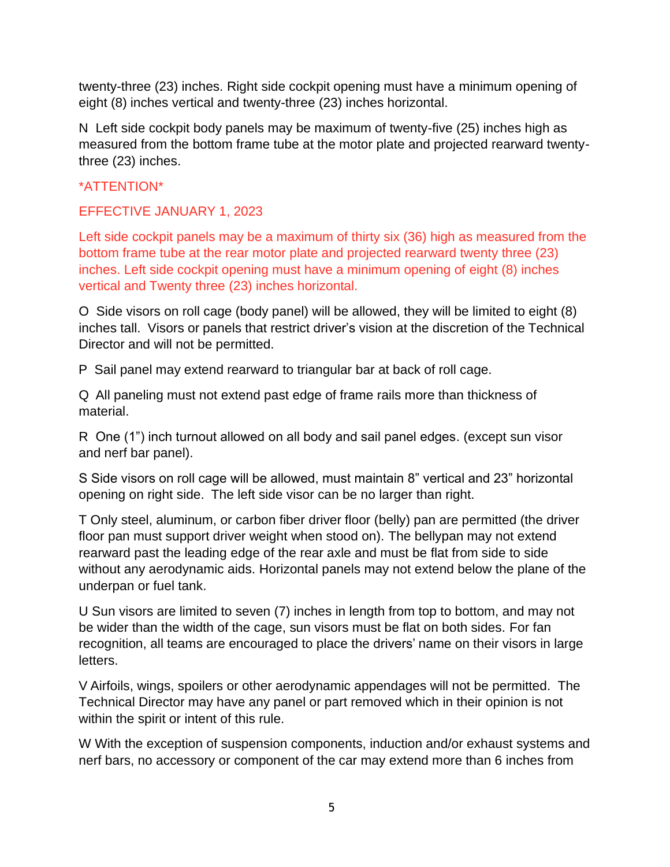twenty-three (23) inches. Right side cockpit opening must have a minimum opening of eight (8) inches vertical and twenty-three (23) inches horizontal.

N Left side cockpit body panels may be maximum of twenty-five (25) inches high as measured from the bottom frame tube at the motor plate and projected rearward twentythree (23) inches.

#### \*ATTENTION\*

EFFECTIVE JANUARY 1, 2023

Left side cockpit panels may be a maximum of thirty six (36) high as measured from the bottom frame tube at the rear motor plate and projected rearward twenty three (23) inches. Left side cockpit opening must have a minimum opening of eight (8) inches vertical and Twenty three (23) inches horizontal.

O Side visors on roll cage (body panel) will be allowed, they will be limited to eight (8) inches tall. Visors or panels that restrict driver's vision at the discretion of the Technical Director and will not be permitted.

P Sail panel may extend rearward to triangular bar at back of roll cage.

Q All paneling must not extend past edge of frame rails more than thickness of material.

R One (1") inch turnout allowed on all body and sail panel edges. (except sun visor and nerf bar panel).

S Side visors on roll cage will be allowed, must maintain 8" vertical and 23" horizontal opening on right side. The left side visor can be no larger than right.

T Only steel, aluminum, or carbon fiber driver floor (belly) pan are permitted (the driver floor pan must support driver weight when stood on). The bellypan may not extend rearward past the leading edge of the rear axle and must be flat from side to side without any aerodynamic aids. Horizontal panels may not extend below the plane of the underpan or fuel tank.

U Sun visors are limited to seven (7) inches in length from top to bottom, and may not be wider than the width of the cage, sun visors must be flat on both sides. For fan recognition, all teams are encouraged to place the drivers' name on their visors in large letters.

V Airfoils, wings, spoilers or other aerodynamic appendages will not be permitted. The Technical Director may have any panel or part removed which in their opinion is not within the spirit or intent of this rule.

W With the exception of suspension components, induction and/or exhaust systems and nerf bars, no accessory or component of the car may extend more than 6 inches from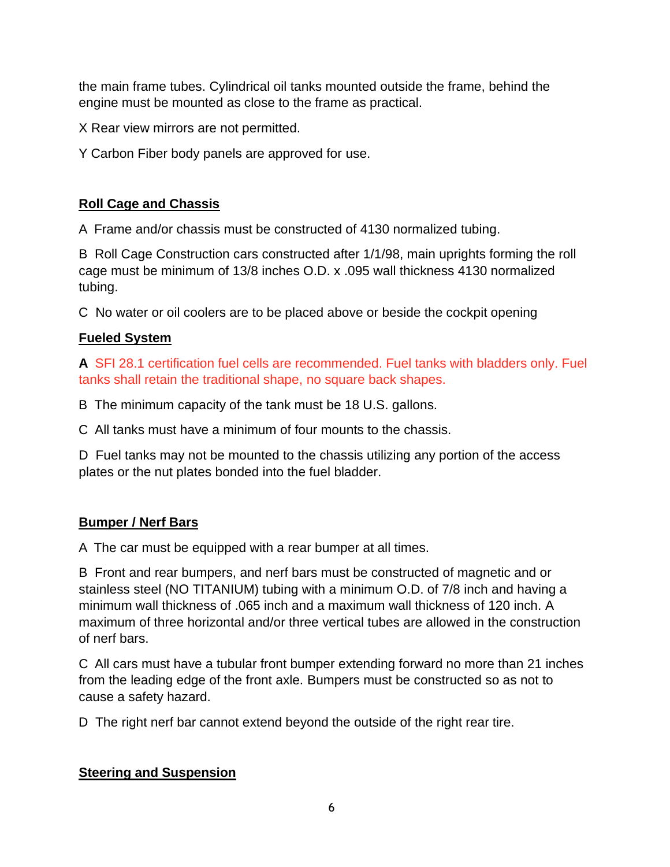the main frame tubes. Cylindrical oil tanks mounted outside the frame, behind the engine must be mounted as close to the frame as practical.

X Rear view mirrors are not permitted.

Y Carbon Fiber body panels are approved for use.

## **Roll Cage and Chassis**

A Frame and/or chassis must be constructed of 4130 normalized tubing.

B Roll Cage Construction cars constructed after 1/1/98, main uprights forming the roll cage must be minimum of 13/8 inches O.D. x .095 wall thickness 4130 normalized tubing.

C No water or oil coolers are to be placed above or beside the cockpit opening

## **Fueled System**

**A** SFI 28.1 certification fuel cells are recommended. Fuel tanks with bladders only. Fuel tanks shall retain the traditional shape, no square back shapes.

B The minimum capacity of the tank must be 18 U.S. gallons.

C All tanks must have a minimum of four mounts to the chassis.

D Fuel tanks may not be mounted to the chassis utilizing any portion of the access plates or the nut plates bonded into the fuel bladder.

## **Bumper / Nerf Bars**

A The car must be equipped with a rear bumper at all times.

B Front and rear bumpers, and nerf bars must be constructed of magnetic and or stainless steel (NO TITANIUM) tubing with a minimum O.D. of 7/8 inch and having a minimum wall thickness of .065 inch and a maximum wall thickness of 120 inch. A maximum of three horizontal and/or three vertical tubes are allowed in the construction of nerf bars.

C All cars must have a tubular front bumper extending forward no more than 21 inches from the leading edge of the front axle. Bumpers must be constructed so as not to cause a safety hazard.

D The right nerf bar cannot extend beyond the outside of the right rear tire.

#### **Steering and Suspension**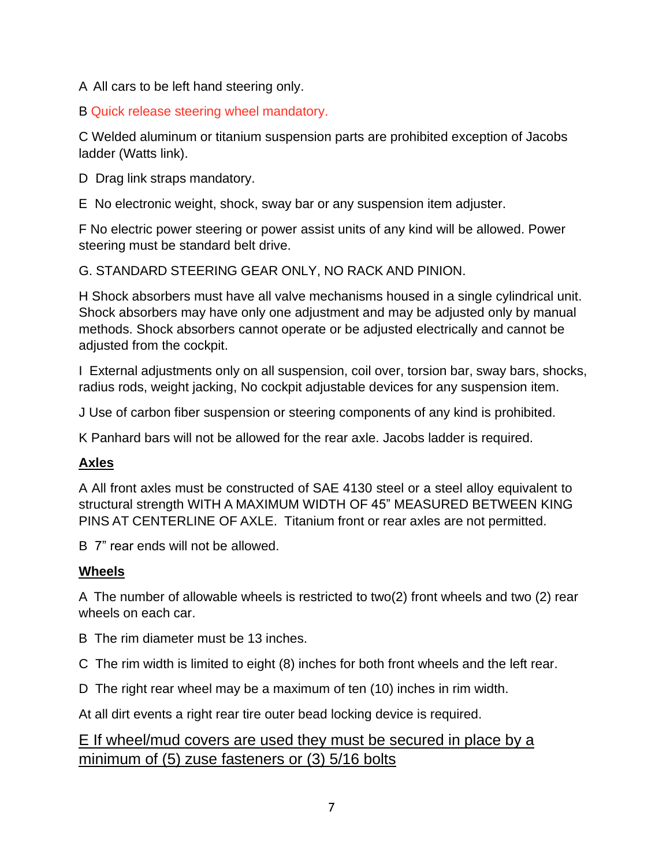A All cars to be left hand steering only.

B Quick release steering wheel mandatory.

C Welded aluminum or titanium suspension parts are prohibited exception of Jacobs ladder (Watts link).

D Drag link straps mandatory.

E No electronic weight, shock, sway bar or any suspension item adjuster.

F No electric power steering or power assist units of any kind will be allowed. Power steering must be standard belt drive.

G. STANDARD STEERING GEAR ONLY, NO RACK AND PINION.

H Shock absorbers must have all valve mechanisms housed in a single cylindrical unit. Shock absorbers may have only one adjustment and may be adjusted only by manual methods. Shock absorbers cannot operate or be adjusted electrically and cannot be adjusted from the cockpit.

I External adjustments only on all suspension, coil over, torsion bar, sway bars, shocks, radius rods, weight jacking, No cockpit adjustable devices for any suspension item.

J Use of carbon fiber suspension or steering components of any kind is prohibited.

K Panhard bars will not be allowed for the rear axle. Jacobs ladder is required.

## **Axles**

A All front axles must be constructed of SAE 4130 steel or a steel alloy equivalent to structural strength WITH A MAXIMUM WIDTH OF 45" MEASURED BETWEEN KING PINS AT CENTERLINE OF AXLE. Titanium front or rear axles are not permitted.

B 7" rear ends will not be allowed.

## **Wheels**

A The number of allowable wheels is restricted to two(2) front wheels and two (2) rear wheels on each car.

B The rim diameter must be 13 inches.

C The rim width is limited to eight (8) inches for both front wheels and the left rear.

D The right rear wheel may be a maximum of ten (10) inches in rim width.

At all dirt events a right rear tire outer bead locking device is required.

## E If wheel/mud covers are used they must be secured in place by a minimum of (5) zuse fasteners or (3) 5/16 bolts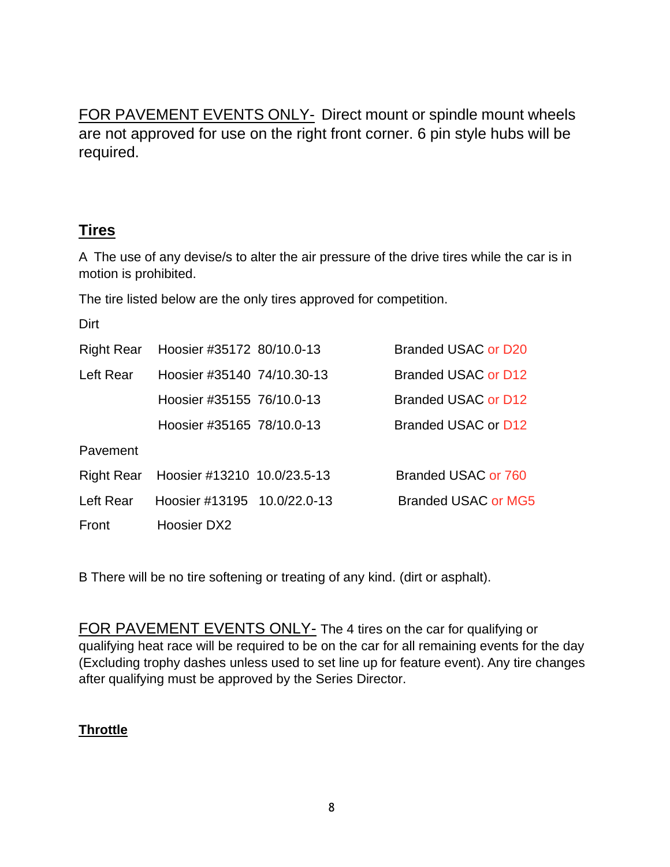FOR PAVEMENT EVENTS ONLY- Direct mount or spindle mount wheels are not approved for use on the right front corner. 6 pin style hubs will be required.

## **Tires**

A The use of any devise/s to alter the air pressure of the drive tires while the car is in motion is prohibited.

The tire listed below are the only tires approved for competition.

| Dirt              |                             |                     |
|-------------------|-----------------------------|---------------------|
| <b>Right Rear</b> | Hoosier #35172 80/10.0-13   | Branded USAC or D20 |
| Left Rear         | Hoosier #35140 74/10.30-13  | Branded USAC or D12 |
|                   | Hoosier #35155 76/10.0-13   | Branded USAC or D12 |
|                   | Hoosier #35165 78/10.0-13   | Branded USAC or D12 |
| Pavement          |                             |                     |
| Right Rear        | Hoosier #13210 10.0/23.5-13 | Branded USAC or 760 |
| Left Rear         | Hoosier #13195 10.0/22.0-13 | Branded USAC or MG5 |
| Front             | Hoosier DX2                 |                     |

B There will be no tire softening or treating of any kind. (dirt or asphalt).

FOR PAVEMENT EVENTS ONLY- The 4 tires on the car for qualifying or qualifying heat race will be required to be on the car for all remaining events for the day (Excluding trophy dashes unless used to set line up for feature event). Any tire changes after qualifying must be approved by the Series Director.

## **Throttle**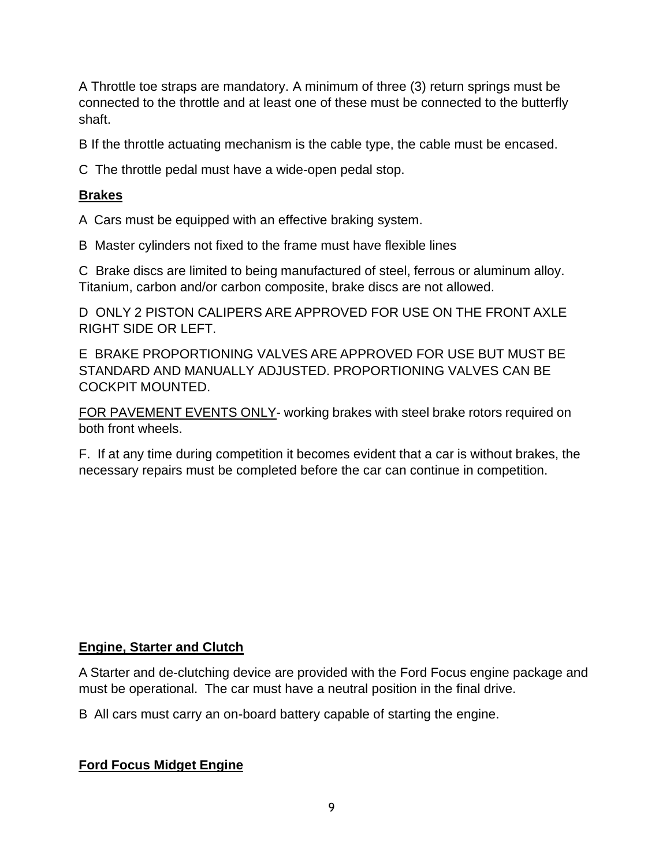A Throttle toe straps are mandatory. A minimum of three (3) return springs must be connected to the throttle and at least one of these must be connected to the butterfly shaft.

B If the throttle actuating mechanism is the cable type, the cable must be encased.

C The throttle pedal must have a wide-open pedal stop.

#### **Brakes**

A Cars must be equipped with an effective braking system.

B Master cylinders not fixed to the frame must have flexible lines

C Brake discs are limited to being manufactured of steel, ferrous or aluminum alloy. Titanium, carbon and/or carbon composite, brake discs are not allowed.

D ONLY 2 PISTON CALIPERS ARE APPROVED FOR USE ON THE FRONT AXLE RIGHT SIDE OR LEFT.

E BRAKE PROPORTIONING VALVES ARE APPROVED FOR USE BUT MUST BE STANDARD AND MANUALLY ADJUSTED. PROPORTIONING VALVES CAN BE COCKPIT MOUNTED.

FOR PAVEMENT EVENTS ONLY- working brakes with steel brake rotors required on both front wheels.

F. If at any time during competition it becomes evident that a car is without brakes, the necessary repairs must be completed before the car can continue in competition.

#### **Engine, Starter and Clutch**

A Starter and de-clutching device are provided with the Ford Focus engine package and must be operational. The car must have a neutral position in the final drive.

B All cars must carry an on-board battery capable of starting the engine.

#### **Ford Focus Midget Engine**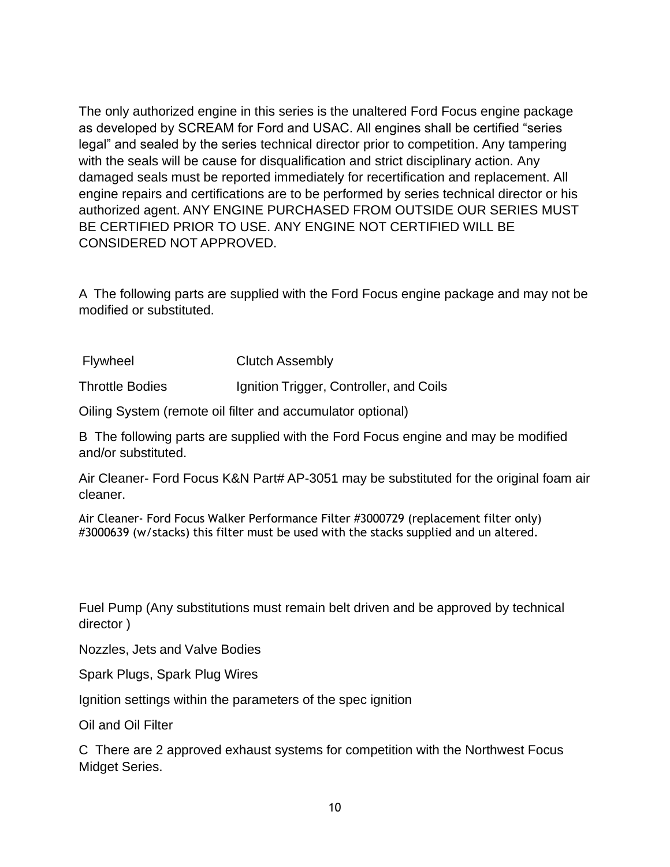The only authorized engine in this series is the unaltered Ford Focus engine package as developed by SCREAM for Ford and USAC. All engines shall be certified "series legal" and sealed by the series technical director prior to competition. Any tampering with the seals will be cause for disqualification and strict disciplinary action. Any damaged seals must be reported immediately for recertification and replacement. All engine repairs and certifications are to be performed by series technical director or his authorized agent. ANY ENGINE PURCHASED FROM OUTSIDE OUR SERIES MUST BE CERTIFIED PRIOR TO USE. ANY ENGINE NOT CERTIFIED WILL BE CONSIDERED NOT APPROVED.

A The following parts are supplied with the Ford Focus engine package and may not be modified or substituted.

Flywheel Clutch Assembly

Throttle Bodies Ignition Trigger, Controller, and Coils

Oiling System (remote oil filter and accumulator optional)

B The following parts are supplied with the Ford Focus engine and may be modified and/or substituted.

Air Cleaner- Ford Focus K&N Part# AP-3051 may be substituted for the original foam air cleaner.

Air Cleaner- Ford Focus Walker Performance Filter #3000729 (replacement filter only) #3000639 (w/stacks) this filter must be used with the stacks supplied and un altered.

Fuel Pump (Any substitutions must remain belt driven and be approved by technical director )

Nozzles, Jets and Valve Bodies

Spark Plugs, Spark Plug Wires

Ignition settings within the parameters of the spec ignition

Oil and Oil Filter

C There are 2 approved exhaust systems for competition with the Northwest Focus Midget Series.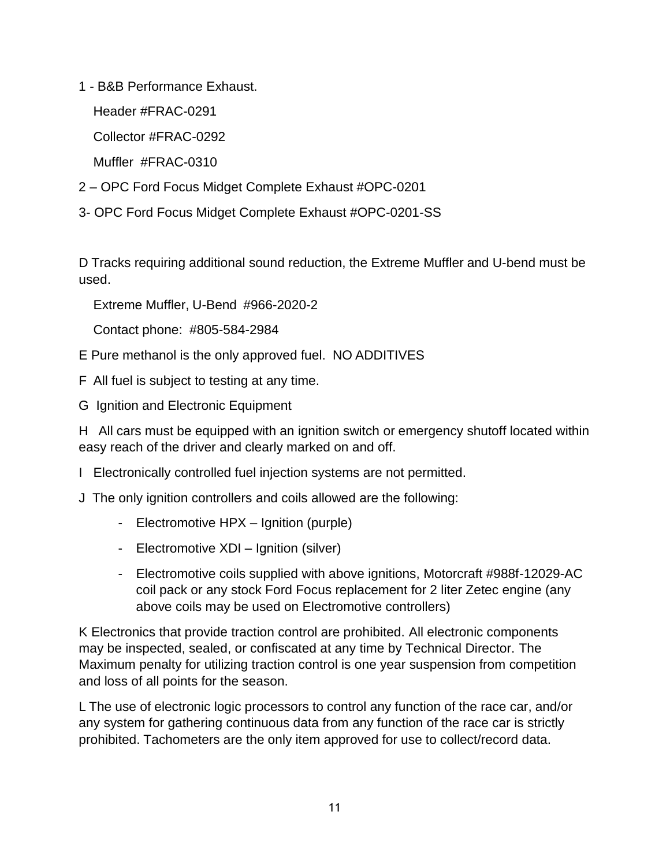1 - B&B Performance Exhaust.

Header #FRAC-0291

Collector #FRAC-0292

Muffler #FRAC-0310

- 2 OPC Ford Focus Midget Complete Exhaust #OPC-0201
- 3- OPC Ford Focus Midget Complete Exhaust #OPC-0201-SS

D Tracks requiring additional sound reduction, the Extreme Muffler and U-bend must be used.

Extreme Muffler, U-Bend #966-2020-2

Contact phone: #805-584-2984

E Pure methanol is the only approved fuel. NO ADDITIVES

F All fuel is subject to testing at any time.

G Ignition and Electronic Equipment

H All cars must be equipped with an ignition switch or emergency shutoff located within easy reach of the driver and clearly marked on and off.

I Electronically controlled fuel injection systems are not permitted.

J The only ignition controllers and coils allowed are the following:

- Electromotive HPX Ignition (purple)
- Electromotive XDI Ignition (silver)
- Electromotive coils supplied with above ignitions, Motorcraft #988f-12029-AC coil pack or any stock Ford Focus replacement for 2 liter Zetec engine (any above coils may be used on Electromotive controllers)

K Electronics that provide traction control are prohibited. All electronic components may be inspected, sealed, or confiscated at any time by Technical Director. The Maximum penalty for utilizing traction control is one year suspension from competition and loss of all points for the season.

L The use of electronic logic processors to control any function of the race car, and/or any system for gathering continuous data from any function of the race car is strictly prohibited. Tachometers are the only item approved for use to collect/record data.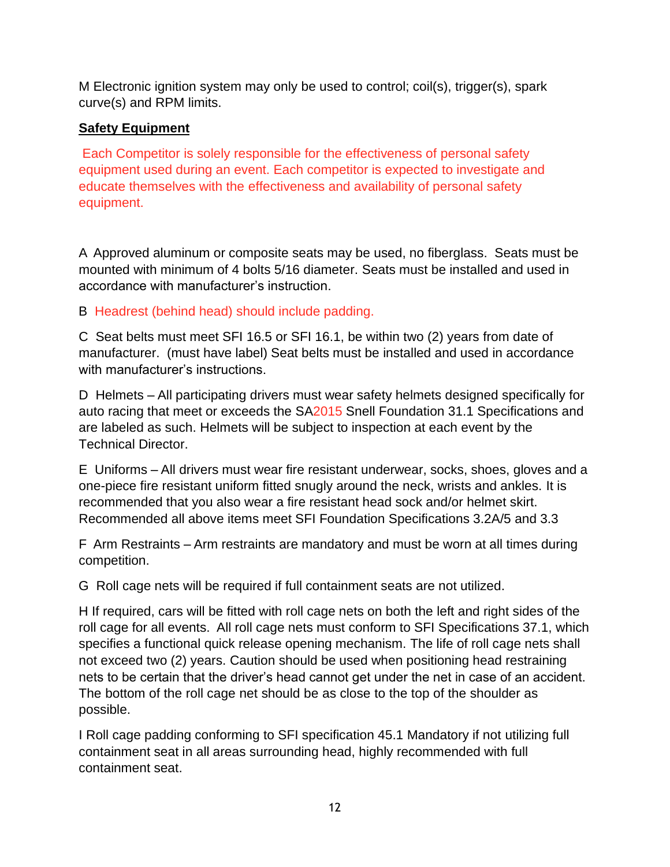M Electronic ignition system may only be used to control; coil(s), trigger(s), spark curve(s) and RPM limits.

## **Safety Equipment**

Each Competitor is solely responsible for the effectiveness of personal safety equipment used during an event. Each competitor is expected to investigate and educate themselves with the effectiveness and availability of personal safety equipment.

A Approved aluminum or composite seats may be used, no fiberglass. Seats must be mounted with minimum of 4 bolts 5/16 diameter. Seats must be installed and used in accordance with manufacturer's instruction.

B Headrest (behind head) should include padding.

C Seat belts must meet SFI 16.5 or SFI 16.1, be within two (2) years from date of manufacturer. (must have label) Seat belts must be installed and used in accordance with manufacturer's instructions.

D Helmets – All participating drivers must wear safety helmets designed specifically for auto racing that meet or exceeds the SA2015 Snell Foundation 31.1 Specifications and are labeled as such. Helmets will be subject to inspection at each event by the Technical Director.

E Uniforms – All drivers must wear fire resistant underwear, socks, shoes, gloves and a one-piece fire resistant uniform fitted snugly around the neck, wrists and ankles. It is recommended that you also wear a fire resistant head sock and/or helmet skirt. Recommended all above items meet SFI Foundation Specifications 3.2A/5 and 3.3

F Arm Restraints – Arm restraints are mandatory and must be worn at all times during competition.

G Roll cage nets will be required if full containment seats are not utilized.

H If required, cars will be fitted with roll cage nets on both the left and right sides of the roll cage for all events. All roll cage nets must conform to SFI Specifications 37.1, which specifies a functional quick release opening mechanism. The life of roll cage nets shall not exceed two (2) years. Caution should be used when positioning head restraining nets to be certain that the driver's head cannot get under the net in case of an accident. The bottom of the roll cage net should be as close to the top of the shoulder as possible.

I Roll cage padding conforming to SFI specification 45.1 Mandatory if not utilizing full containment seat in all areas surrounding head, highly recommended with full containment seat.